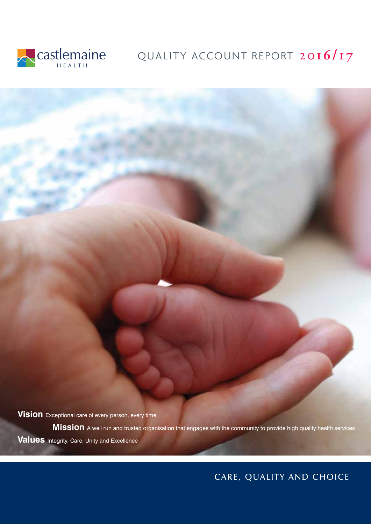

# Castlemaine QUALITY ACCOUNT REPORT 2016/17

**Vision** Exceptional care of every person, every time

**Mission** A well run and trusted organisation that engages with the community to provide high quality health services **Values** Integrity, Care, Unity and Excellence

# CARE, QUALITY AND CHOICE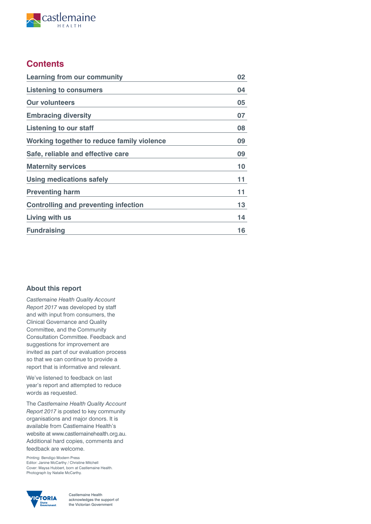

# **Contents**

| <b>Learning from our community</b>          | 02 |
|---------------------------------------------|----|
| <b>Listening to consumers</b>               | 04 |
| <b>Our volunteers</b>                       | 05 |
| <b>Embracing diversity</b>                  | 07 |
| Listening to our staff                      | 08 |
| Working together to reduce family violence  | 09 |
| Safe, reliable and effective care           | 09 |
| <b>Maternity services</b>                   | 10 |
| Using medications safely                    | 11 |
| <b>Preventing harm</b>                      | 11 |
| <b>Controlling and preventing infection</b> | 13 |
| Living with us                              | 14 |
| <b>Fundraising</b>                          | 16 |

# **About this report**

*Castlemaine Health Quality Account Report 2017* was developed by staff and with input from consumers, the Clinical Governance and Quality Committee, and the Community Consultation Committee. Feedback and suggestions for improvement are invited as part of our evaluation process so that we can continue to provide a report that is informative and relevant.

We've listened to feedback on last year's report and attempted to reduce words as requested.

The *Castlemaine Health Quality Account Report 2017* is posted to key community organisations and major donors. It is available from Castlemaine Health's website at www.castlemainehealth.org.au. Additional hard copies, comments and feedback are welcome.

Printing: Bendigo Modern Press Editor: Janine McCarthy / Christine Mitchell Cover: Maysa Hubbert, born at Castlemaine Health. Photograph by Natalie McCarthy.



Castlemaine Health acknowledges the support of the Victorian Government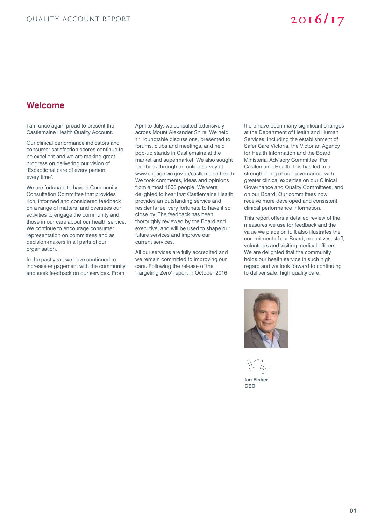# **Welcome**

I am once again proud to present the Castlemaine Health Quality Account.

Our clinical performance indicators and consumer satisfaction scores continue to be excellent and we are making great progress on delivering our vision of 'Exceptional care of every person, every time'.

We are fortunate to have a Community Consultation Committee that provides rich, informed and considered feedback on a range of matters, and oversees our activities to engage the community and those in our care about our health service. We continue to encourage consumer representation on committees and as decision-makers in all parts of our organisation.

In the past year, we have continued to increase engagement with the community and seek feedback on our services. From

April to July, we consulted extensively across Mount Alexander Shire. We held 11 roundtable discussions, presented to forums, clubs and meetings, and held pop-up stands in Castlemaine at the market and supermarket. We also sought feedback through an online survey at www.engage.vic.gov.au/castlemaine-health. We took comments, ideas and opinions from almost 1000 people. We were delighted to hear that Castlemaine Health provides an outstanding service and residents feel very fortunate to have it so close by. The feedback has been thoroughly reviewed by the Board and executive, and will be used to shape our future services and improve our current services.

All our services are fully accredited and we remain committed to improving our care. Following the release of the 'Targeting Zero' report in October 2016

there have been many significant changes at the Department of Health and Human Services, including the establishment of Safer Care Victoria, the Victorian Agency for Health Information and the Board Ministerial Advisory Committee. For Castlemaine Health, this has led to a strengthening of our governance, with greater clinical expertise on our Clinical Governance and Quality Committees, and on our Board. Our committees now receive more developed and consistent clinical performance information.

This report offers a detailed review of the measures we use for feedback and the value we place on it. It also illustrates the commitment of our Board, executives, staff, volunteers and visiting medical officers. We are delighted that the community holds our health service in such high regard and we look forward to continuing to deliver safe, high quality care.



**Ian Fisher**

**CEO**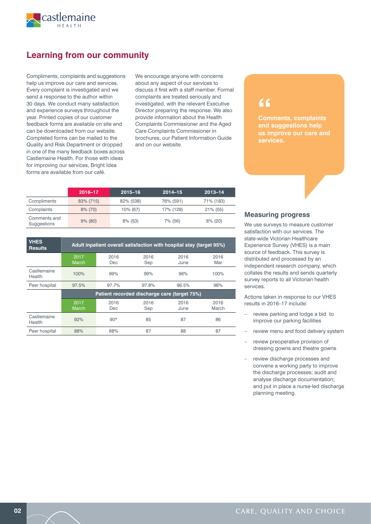

# **Learning from our community**

Compliments, complaints and suggestions help us improve our care and services. Every complaint is investigated and we send a response to the author within 30 days. We conduct many satisfaction and experience surveys throughout the year. Printed copies of our customer feedback forms are available on site and can be downloaded from our website. Completed forms can be mailed to the Quality and Risk Department or dropped in one of the many feedback boxes across Castlemaine Health. For those with ideas for improving our services, Bright Idea forms are available from our café.

We encourage anyone with concerns about any aspect of our services to discuss it first with a staff member. Formal complaints are treated seriously and investigated, with the relevant Executive Director preparing the response. We also provide information about the Health Complaints Commissioner and the Aged Care Complaints Commissioner in brochures, our Patient Information Guide and on our website.

# **2016–17 2015–16 2014–15 2013–14** Compliments 83% (715) 82% (538) 76% (591) 71% (183) Complaints 8% (70) 10% (67) 17% (128) 21% (55) Comments and Suggestions 9% (80) 8% (53) 7% (56) 8% (20)

| <b>VHES</b><br><b>Results</b> | Adult inpatient overall satisfaction with hospital stay (target 95%) |                    |             |              |               |
|-------------------------------|----------------------------------------------------------------------|--------------------|-------------|--------------|---------------|
|                               | 2017<br><b>March</b>                                                 | 2016<br>Dec        | 2016<br>Sep | 2016<br>June | 2016<br>Mar   |
| Castlemaine<br>Health         | 100%                                                                 | 99%                | 99%         | 96%          | 100%          |
| Peer hospital                 | 97.5%                                                                | 97.7%              | 97.8%       | 96.5%        | 98%           |
|                               | Patient recorded discharge care (target 75%)                         |                    |             |              |               |
|                               | 2017<br>March                                                        | 2016<br><b>Dec</b> | 2016<br>Sep | 2016<br>June | 2016<br>March |
| Castlemaine<br>Health         | 92%                                                                  | $90*$              | 85          | 87           | 86            |
| Peer hospital                 | 88%                                                                  | 88%                | 87          | 88           | 87            |

# **"**

**Comments, complaints and suggestions help us improve our care and services.**

## **Measuring progress**

We use surveys to measure customer satisfaction with our services. The state-wide Victorian Healthcare Experience Survey (VHES) is a main source of feedback. This survey is distributed and processed by an independent research company, which collates the results and sends quarterly survey reports to all Victorian health services.

Actions taken in response to our VHES results in 2016–17 include:

- review parking and lodge a bid to improve our parking facilities
- review menu and food delivery system
- review preoperative provision of dressing gowns and theatre gowns
- review discharge processes and convene a working party to improve the discharge processes; audit and analyse discharge documentation; and put in place a nurse-led discharge planning meeting.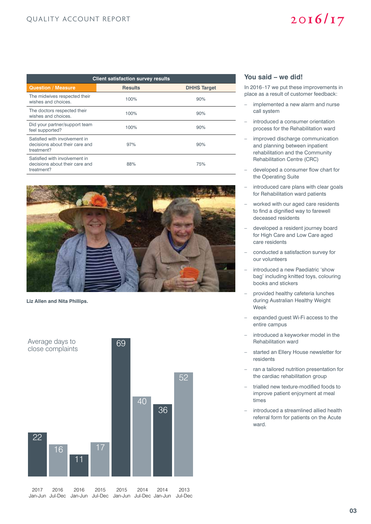# QUALITY ACCOUNT REPORT

# $2016/17$

| <b>Client satisfaction survey results</b>                                     |                |                    |  |  |  |
|-------------------------------------------------------------------------------|----------------|--------------------|--|--|--|
| <b>Question / Measure</b>                                                     | <b>Results</b> | <b>DHHS Target</b> |  |  |  |
| The midwives respected their<br>wishes and choices.                           | 100%           | 90%                |  |  |  |
| The doctors respected their<br>wishes and choices.                            | 100%           | 90%                |  |  |  |
| Did your partner/support team<br>feel supported?                              | 100%           | 90%                |  |  |  |
| Satisfied with involvement in<br>decisions about their care and<br>treatment? | 97%            | 90%                |  |  |  |
| Satisfied with involvement in<br>decisions about their care and<br>treatment? | 88%            | 75%                |  |  |  |



**Liz Allen and Nita Phillips.**



### **You said – we did!**

In 2016–17 we put these improvements in place as a result of customer feedback:

- implemented a new alarm and nurse call system
- introduced a consumer orientation process for the Rehabilitation ward
- improved discharge communication and planning between inpatient rehabilitation and the Community Rehabilitation Centre (CRC)
- developed a consumer flow chart for the Operating Suite
- introduced care plans with clear goals for Rehabilitation ward patients
- worked with our aged care residents to find a dignified way to farewell deceased residents
- developed a resident journey board for High Care and Low Care aged care residents
- conducted a satisfaction survey for our volunteers
- introduced a new Paediatric 'show bag' including knitted toys, colouring books and stickers
- provided healthy cafeteria lunches during Australian Healthy Weight Week
- expanded guest Wi-Fi access to the entire campus
- introduced a keyworker model in the Rehabilitation ward
- started an Ellery House newsletter for residents
- ran a tailored nutrition presentation for the cardiac rehabilitation group
- trialled new texture-modified foods to improve patient enjoyment at meal times
- introduced a streamlined allied health referral form for patients on the Acute ward.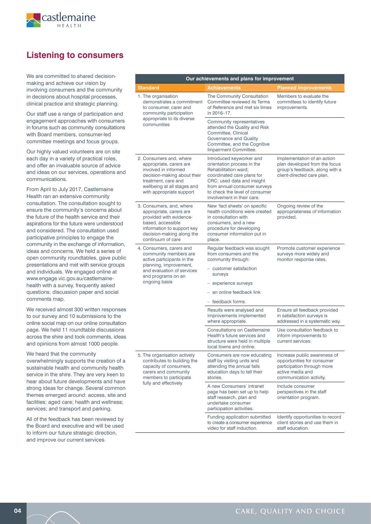

# **Listening to consumers**

We are committed to shared decisionmaking and achieve our vision by involving consumers and the community in decisions about hospital processes, clinical practice and strategic planning.

Our staff use a range of participation and engagement approaches with consumers in forums such as community consultations with Board members, consumer-led committee meetings and focus groups.

Our highly valued volunteers are on site each day in a variety of practical roles, and offer an invaluable source of advice and ideas on our services, operations and communications.

From April to July 2017, Castlemaine Health ran an extensive community consultation. The consultation sought to ensure the community's concerns about the future of the health service and their aspirations for the future were understood and considered. The consultation used participative principles to engage the community in the exchange of information, ideas and concerns. We held a series of open community roundtables, gave public presentations and met with service groups and individuals. We engaged online at www.engage.vic.gov.au/castlemainehealth with a survey, frequently asked questions, discussion paper and social comments map.

We received almost 300 written responses to our survey and 10 submissions to the online social map on our online consultation page. We held 11 roundtable discussions across the shire and took comments, ideas and opinions from almost 1000 people.

We heard that the community overwhelmingly supports the creation of a sustainable health and community health service in the shire. They are very keen to hear about future developments and have strong ideas for change. Several common themes emerged around: access, site and facilities; aged care; health and wellness; services; and transport and parking.

All of the feedback has been reviewed by the Board and executive and will be used to inform our future strategic direction, and improve our current services.

| Our achievements and plans for improvement                                                                                                                                                  |                                                                                                                                                                                                                                            |                                                                                                                                         |  |  |  |
|---------------------------------------------------------------------------------------------------------------------------------------------------------------------------------------------|--------------------------------------------------------------------------------------------------------------------------------------------------------------------------------------------------------------------------------------------|-----------------------------------------------------------------------------------------------------------------------------------------|--|--|--|
| <b>Standard</b>                                                                                                                                                                             | <b>Achievements</b>                                                                                                                                                                                                                        | <b>Planned improvements</b>                                                                                                             |  |  |  |
| 1. The organisation<br>demonstrates a commitment<br>to consumer, carer and<br>community participation                                                                                       | The Community Consultation<br>Committee reviewed its Terms<br>of Reference and met six times<br>in 2016-17.                                                                                                                                | Members to evaluate the<br>committees to identify future<br>improvements.                                                               |  |  |  |
| appropriate to its diverse<br>communities                                                                                                                                                   | Community representatives<br>attended the Quality and Risk<br>Committee, Clinical<br>Governance and Quality<br>Committee, and the Cognitive<br>Impairment Committee.                                                                       |                                                                                                                                         |  |  |  |
| 2. Consumers and, where<br>appropriate, carers are<br>involved in informed<br>decision-making about their<br>treatment, care and<br>wellbeing at all stages and<br>with appropriate support | Introduced keyworker and<br>orientation process in the<br>Rehabilitation ward:<br>coordinated care plans for<br>CRC; used data and insight<br>from annual consumer surveys<br>to check the level of consumer<br>involvement in their care. | Implementation of an action<br>plan developed from the focus<br>group's feedback, along with a<br>client-directed care plan.            |  |  |  |
| 3. Consumers, and, where<br>appropriate, carers are<br>provided with evidence-<br>based, accessible<br>information to support key<br>decision-making along the<br>continuum of care         | New 'fact sheets' on specific<br>health conditions were created<br>in consultation with<br>consumers, and a new<br>procedure for developing<br>consumer information put in<br>place.                                                       | Ongoing review of the<br>appropriateness of information<br>provided.                                                                    |  |  |  |
| 4. Consumers, carers and<br>community members are<br>active participants in the                                                                                                             | Regular feedback was sought<br>from consumers and the<br>community through:                                                                                                                                                                | Promote customer experience<br>surveys more widely and<br>monitor response rates.                                                       |  |  |  |
| planning, improvement,<br>and evaluation of services<br>and programs on an                                                                                                                  | - customer satisfaction<br>surveys                                                                                                                                                                                                         |                                                                                                                                         |  |  |  |
| ongoing basis                                                                                                                                                                               | - experience surveys                                                                                                                                                                                                                       |                                                                                                                                         |  |  |  |
|                                                                                                                                                                                             | - an online feedback link                                                                                                                                                                                                                  |                                                                                                                                         |  |  |  |
|                                                                                                                                                                                             | - feedback forms.                                                                                                                                                                                                                          |                                                                                                                                         |  |  |  |
|                                                                                                                                                                                             | Results were analysed and<br>improvements implemented<br>where appropriate.                                                                                                                                                                | Ensure all feedback provided<br>in satisfaction surveys is<br>addressed in a systematic way.                                            |  |  |  |
|                                                                                                                                                                                             | <b>Consultations on Castlemaine</b><br>Health's future services and<br>structure were held in multiple<br>local towns and online.                                                                                                          | Use consultation feedback to<br>inform improvements to<br>current services.                                                             |  |  |  |
| 5. The organisation actively<br>contributes to building the<br>capacity of consumers,<br>carers and community<br>members to participate                                                     | Consumers are now educating<br>staff by visiting units and<br>attending the annual falls<br>education days to tell their<br>stories.                                                                                                       | Increase public awareness of<br>opportunities for consumer<br>participation through more<br>active media and<br>communication activity. |  |  |  |
| fully and effectively                                                                                                                                                                       | A new Consumers' intranet<br>page has been set up to help<br>staff research, plan and<br>undertake consumer<br>participation activities.                                                                                                   | Include consumer<br>perspectives in the staff<br>orientation program.                                                                   |  |  |  |
|                                                                                                                                                                                             | Funding application submitted<br>to create a consumer experience<br>video for staff induction.                                                                                                                                             | Identify opportunities to record<br>client stories and use them in<br>staff education.                                                  |  |  |  |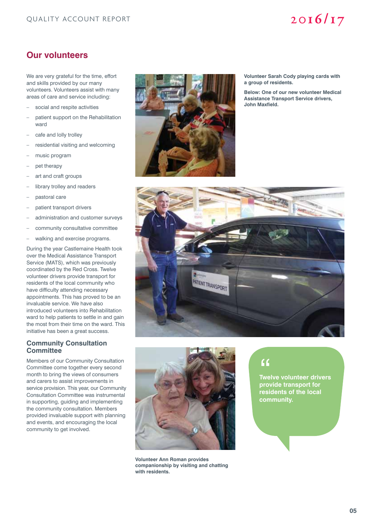# **Our volunteers**

We are very grateful for the time, effort and skills provided by our many volunteers. Volunteers assist with many areas of care and service including:

- social and respite activities
- patient support on the Rehabilitation ward
- cafe and lolly trolley
- residential visiting and welcoming
- music program
- pet therapy
- art and craft groups
- library trolley and readers
- pastoral care
- patient transport drivers
- administration and customer surveys
- community consultative committee
- walking and exercise programs.

During the year Castlemaine Health took over the Medical Assistance Transport Service (MATS), which was previously coordinated by the Red Cross. Twelve volunteer drivers provide transport for residents of the local community who have difficulty attending necessary appointments. This has proved to be an invaluable service. We have also introduced volunteers into Rehabilitation ward to help patients to settle in and gain the most from their time on the ward. This initiative has been a great success.

# **Community Consultation Committee**

Members of our Community Consultation Committee come together every second month to bring the views of consumers and carers to assist improvements in service provision. This year, our Community Consultation Committee was instrumental in supporting, guiding and implementing the community consultation. Members provided invaluable support with planning and events, and encouraging the local community to get involved.



**Volunteer Sarah Cody playing cards with a group of residents.**

**Below: One of our new volunteer Medical Assistance Transport Service drivers, John Maxfield.**





**Volunteer Ann Roman provides companionship by visiting and chatting with residents.**

**Twelve volunteer drivers provide transport for residents of the local community.** "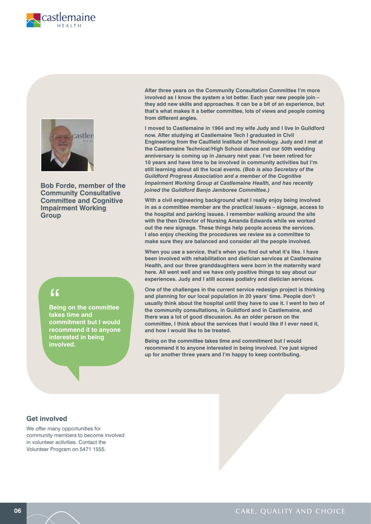



**Bob Forde, member of the Community Consultative Committee and Cognitive Impairment Working Group**

**Being on the committee takes time and commitment but I would recommend it to anyone interested in being involved.** "<br>Bein<br>take

**After three years on the Community Consultation Committee I'm more involved as I know the system a lot better. Each year new people join – they add new skills and approaches. It can be a bit of an experience, but that's what makes it a better committee, lots of views and people coming from different angles.**

**I moved to Castlemaine in 1964 and my wife Judy and I live in Guildford now. After studying at Castlemaine Tech I graduated in Civil Engineering from the Caulfield Institute of Technology. Judy and I met at the Castlemaine Technical/High School dance and our 50th wedding anniversary is coming up in January next year. I've been retired for 10 years and have time to be involved in community activities but I'm still learning about all the local events.** *(Bob is also Secretary of the Guildford Progress Association and a member of the Cognitive Impairment Working Group at Castlemaine Health, and has recently joined the Guildford Banjo Jamboree Committee.)*

**With a civil engineering background what I really enjoy being involved in as a committee member are the practical issues – signage, access to the hospital and parking issues. I remember walking around the site with the then Director of Nursing Amanda Edwards while we worked out the new signage. These things help people access the services. I also enjoy checking the procedures we review as a committee to make sure they are balanced and consider all the people involved.**

**When you use a service, that's when you find out what it's like. I have been involved with rehabilitation and dietician services at Castlemaine Health, and our three granddaughters were born in the maternity ward here. All went well and we have only positive things to say about our experiences. Judy and I still access podiatry and dietician services.** 

**One of the challenges in the current service redesign project is thinking and planning for our local population in 20 years' time. People don't usually think about the hospital until they have to use it. I went to two of the community consultations, in Guildford and in Castlemaine, and there was a lot of good discussion. As an older person on the committee, I think about the services that I would like if I ever need it, and how I would like to be treated.** 

**Being on the committee takes time and commitment but I would recommend it to anyone interested in being involved. I've just signed up for another three years and I'm happy to keep contributing.**

# **Get involved**

We offer many opportunities for community members to become involved in volunteer activities. Contact the Volunteer Program on 5471 1555.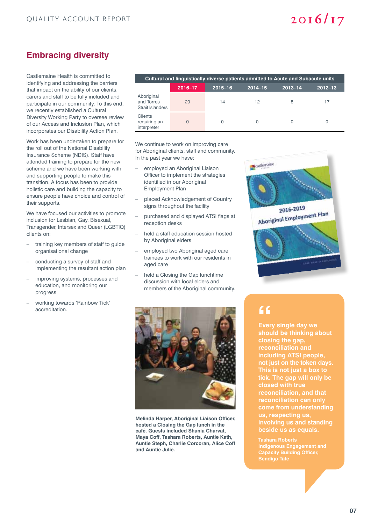# **Embracing diversity**

Castlemaine Health is committed to identifying and addressing the barriers that impact on the ability of our clients, carers and staff to be fully included and participate in our community. To this end, we recently established a Cultural Diversity Working Party to oversee review of our Access and Inclusion Plan, which incorporates our Disability Action Plan.

Work has been undertaken to prepare for the roll out of the National Disability Insurance Scheme (NDIS). Staff have attended training to prepare for the new scheme and we have been working with and supporting people to make this transition. A focus has been to provide holistic care and building the capacity to ensure people have choice and control of their supports.

We have focused our activities to promote inclusion for Lesbian, Gay, Bisexual, Transgender, Intersex and Queer (LGBTIQ) clients on:

- training key members of staff to guide organisational change
- conducting a survey of staff and implementing the resultant action plan
- improving systems, processes and education, and monitoring our progress
- working towards 'Rainbow Tick' accreditation.

| Cultural and linguistically diverse patients admitted to Acute and Subacute units |         |             |             |         |             |
|-----------------------------------------------------------------------------------|---------|-------------|-------------|---------|-------------|
|                                                                                   | 2016-17 | $2015 - 16$ | $2014 - 15$ | 2013-14 | $2012 - 13$ |
| Aboriginal<br>and Torres<br><b>Strait Islanders</b>                               | 20      | 14          | 12          | 8       | 17          |
| Clients<br>requiring an<br>interpreter                                            | Ω       |             |             |         |             |

We continue to work on improving care for Aboriginal clients, staff and community. In the past year we have:

- employed an Aboriginal Liaison Officer to implement the strategies identified in our Aboriginal Employment Plan
- placed Acknowledgement of Country signs throughout the facility
- purchased and displayed ATSI flags at reception desks
- held a staff education session hosted by Aboriginal elders
- employed two Aboriginal aged care trainees to work with our residents in aged care
- held a Closing the Gap lunchtime discussion with local elders and members of the Aboriginal community.





**Melinda Harper, Aboriginal Liaison Officer, hosted a Closing the Gap lunch in the café. Guests included Shania Charvat, Maya Coff, Tashara Roberts, Auntie Kath, Auntie Steph, Charlie Corcoran, Alice Coff and Auntie Julie.**

# **"**

**Every single day we should be thinking about closing the gap, reconciliation and including ATSI people, not just on the token days. This is not just a box to tick. The gap will only be reconciliation, and that reconciliation can only come from understanding us, respecting us, involving us and standing beside us as equals.**

**Tashara Roberts Indigenous Engagement and Capacity Building Officer, Bendigo Tafe**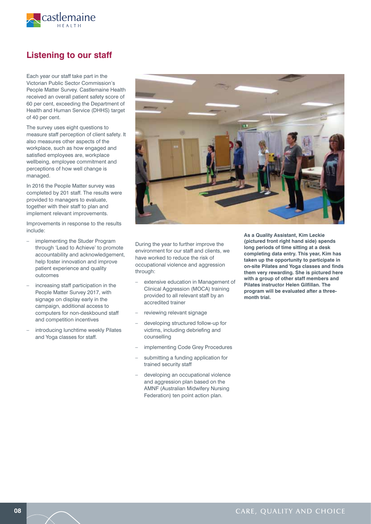

# **Listening to our staff**

Each year our staff take part in the Victorian Public Sector Commission's People Matter Survey. Castlemaine Health received an overall patient safety score of 60 per cent, exceeding the Department of Health and Human Service (DHHS) target of 40 per cent.

The survey uses eight questions to measure staff perception of client safety. It also measures other aspects of the workplace, such as how engaged and satisfied employees are, workplace wellbeing, employee commitment and perceptions of how well change is managed.

In 2016 the People Matter survey was completed by 201 staff. The results were provided to managers to evaluate, together with their staff to plan and implement relevant improvements.

Improvements in response to the results include:

- implementing the Studer Program through 'Lead to Achieve' to promote accountability and acknowledgement, help foster innovation and improve patient experience and quality outcomes
- increasing staff participation in the People Matter Survey 2017, with signage on display early in the campaign, additional access to computers for non-deskbound staff and competition incentives
- introducing lunchtime weekly Pilates and Yoga classes for staff.



During the year to further improve the environment for our staff and clients, we have worked to reduce the risk of occupational violence and aggression through:

- extensive education in Management of Clinical Aggression (MOCA) training provided to all relevant staff by an accredited trainer
- reviewing relevant signage
- developing structured follow-up for victims, including debriefing and counselling
- implementing Code Grey Procedures
- submitting a funding application for trained security staff
- developing an occupational violence and aggression plan based on the AMNF (Australian Midwifery Nursing Federation) ten point action plan.

**As a Quality Assistant, Kim Leckie (pictured front right hand side) spends long periods of time sitting at a desk completing data entry. This year, Kim has taken up the opportunity to participate in on-site Pilates and Yoga classes and finds them very rewarding. She is pictured here with a group of other staff members and Pilates instructor Helen Gilfillan. The program will be evaluated after a threemonth trial.**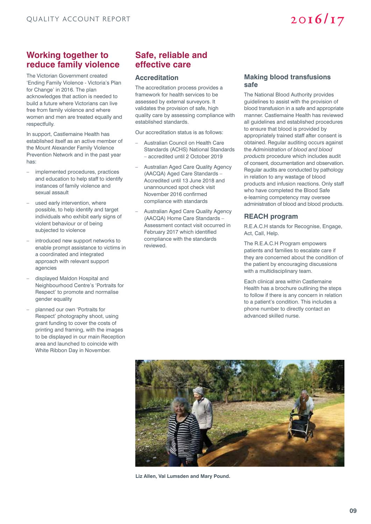# **Working together to reduce family violence**

The Victorian Government created 'Ending Family Violence - Victoria's Plan for Change' in 2016. The plan acknowledges that action is needed to build a future where Victorians can live free from family violence and where women and men are treated equally and respectfully.

In support, Castlemaine Health has established itself as an active member of the Mount Alexander Family Violence Prevention Network and in the past year has:

- implemented procedures, practices and education to help staff to identify instances of family violence and sexual assault
- used early intervention, where possible, to help identify and target individuals who exhibit early signs of violent behaviour or of being subjected to violence
- introduced new support networks to enable prompt assistance to victims in a coordinated and integrated approach with relevant support agencies
- displayed Maldon Hospital and Neighbourhood Centre's 'Portraits for Respect' to promote and normalise gender equality
- planned our own 'Portraits for Respect' photography shoot, using grant funding to cover the costs of printing and framing, with the images to be displayed in our main Reception area and launched to coincide with White Ribbon Day in November.

# **Safe, reliable and effective care**

## **Accreditation**

The accreditation process provides a framework for health services to be assessed by external surveyors. It validates the provision of safe, high quality care by assessing compliance with established standards.

Our accreditation status is as follows:

- Australian Council on Health Care Standards (ACHS) National Standards – accredited until 2 October 2019
- Australian Aged Care Quality Agency (AACQA) Aged Care Standards – Accredited until 13 June 2018 and unannounced spot check visit November 2016 confirmed compliance with standards
- Australian Aged Care Quality Agency (AACQA) Home Care Standards – Assessment contact visit occurred in February 2017 which identified compliance with the standards reviewed.

### **Making blood transfusions safe**

 $2016/17$ 

The National Blood Authority provides guidelines to assist with the provision of blood transfusion in a safe and appropriate manner. Castlemaine Health has reviewed all guidelines and established procedures to ensure that blood is provided by appropriately trained staff after consent is obtained. Regular auditing occurs against the *Administration of blood and blood products* procedure which includes audit of consent, documentation and observation. Regular audits are conducted by pathology in relation to any wastage of blood products and infusion reactions. Only staff who have completed the Blood Safe e-learning competency may oversee administration of blood and blood products.

# **REACH program**

R.E.A.C.H stands for Recognise, Engage, Act, Call, Help.

The R.E.A.C.H Program empowers patients and families to escalate care if they are concerned about the condition of the patient by encouraging discussions with a multidisciplinary team.

Each clinical area within Castlemaine Health has a brochure outlining the steps to follow if there is any concern in relation to a patient's condition. This includes a phone number to directly contact an advanced skilled nurse.



**Liz Allen, Val Lumsden and Mary Pound.**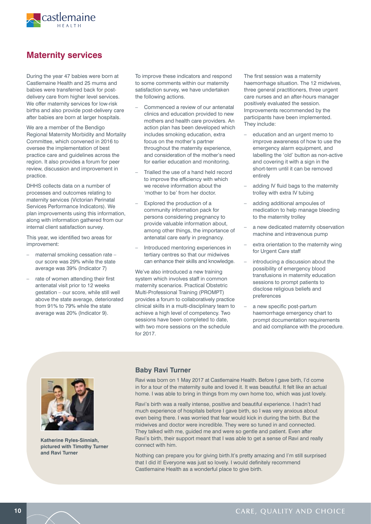

# **Maternity services**

During the year 47 babies were born at Castlemaine Health and 25 mums and babies were transferred back for postdelivery care from higher level services. We offer maternity services for low-risk births and also provide post-delivery care after babies are born at larger hospitals.

We are a member of the Bendigo Regional Maternity Morbidity and Mortality Committee, which convened in 2016 to oversee the implementation of best practice care and guidelines across the region. It also provides a forum for peer review, discussion and improvement in practice.

DHHS collects data on a number of processes and outcomes relating to maternity services (Victorian Perinatal Services Performance Indicators). We plan improvements using this information, along with information gathered from our internal client satisfaction survey.

This year, we identified two areas for improvement:

- maternal smoking cessation rate our score was 29% while the state average was 39% (Indicator 7)
- rate of women attending their first antenatal visit prior to 12 weeks gestation – our score, while still well above the state average, deteriorated from 91% to 79% while the state average was 20% (Indicator 9).

To improve these indicators and respond to some comments within our maternity satisfaction survey, we have undertaken the following actions.

- Commenced a review of our antenatal clinics and education provided to new mothers and health care providers. An action plan has been developed which includes smoking education, extra focus on the mother's partner throughout the maternity experience, and consideration of the mother's need for earlier education and monitoring.
- Trialled the use of a hand held record to improve the efficiency with which we receive information about the 'mother to be' from her doctor.
- Explored the production of a community information pack for persons considering pregnancy to provide valuable information about, among other things, the importance of antenatal care early in pregnancy.
- Introduced mentoring experiences in tertiary centres so that our midwives can enhance their skills and knowledge.

We've also introduced a new training system which involves staff in common maternity scenarios. Practical Obstetric Multi-Professional Training (PROMPT) provides a forum to collaboratively practice clinical skills in a multi-disciplinary team to achieve a high level of competency. Two sessions have been completed to date, with two more sessions on the schedule for 2017.

The first session was a maternity haemorrhage situation. The 12 midwives, three general practitioners, three urgent care nurses and an after-hours manager positively evaluated the session. Improvements recommended by the participants have been implemented. They include:

- education and an urgent memo to improve awareness of how to use the emergency alarm equipment, and labelling the 'old' button as non-active and covering it with a sign in the short-term until it can be removed entirely
- adding IV fluid bags to the maternity trolley with extra IV tubing
- adding additional ampoules of medication to help manage bleeding to the maternity trolley
- a new dedicated maternity observation machine and intravenous pump
- extra orientation to the maternity wing for Urgent Care staff
- introducing a discussion about the possibility of emergency blood transfusions in maternity education sessions to prompt patients to disclose religious beliefs and preferences
- a new specific post-partum haemorrhage emergency chart to prompt documentation requirements and aid compliance with the procedure.



**Katherine Ryles-Sinniah, pictured with Timothy Turner and Ravi Turner**

## **Baby Ravi Turner**

Ravi was born on 1 May 2017 at Castlemaine Health. Before I gave birth, I'd come in for a tour of the maternity suite and loved it. It was beautiful. It felt like an actual home. I was able to bring in things from my own home too, which was just lovely.

Ravi's birth was a really intense, positive and beautiful experience. I hadn't had much experience of hospitals before I gave birth, so I was very anxious about even being there. I was worried that fear would kick in during the birth. But the midwives and doctor were incredible. They were so tuned in and connected. They talked with me, guided me and were so gentle and patient. Even after Ravi's birth, their support meant that I was able to get a sense of Ravi and really connect with him.

Nothing can prepare you for giving birth.It's pretty amazing and I'm still surprised that I did it! Everyone was just so lovely. I would definitely recommend Castlemaine Health as a wonderful place to give birth.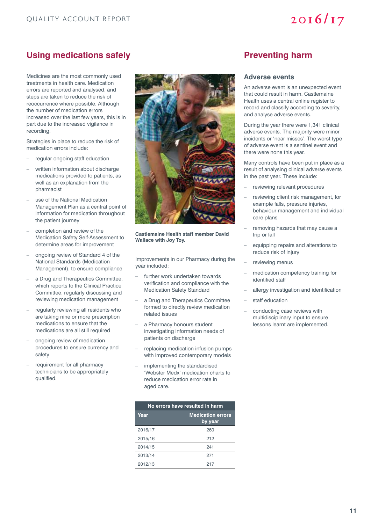# Using medications safely **Preventing harm**

Medicines are the most commonly used treatments in health care. Medication errors are reported and analysed, and steps are taken to reduce the risk of reoccurrence where possible. Although the number of medication errors increased over the last few years, this is in part due to the increased vigilance in recording.

Strategies in place to reduce the risk of medication errors include:

- regular ongoing staff education
- written information about discharge medications provided to patients, as well as an explanation from the pharmacist
- use of the National Medication Management Plan as a central point of information for medication throughout the patient journey
- completion and review of the Medication Safety Self-Assessment to determine areas for improvement
- ongoing review of Standard 4 of the National Standards (Medication Management), to ensure compliance
- a Drug and Therapeutics Committee, which reports to the Clinical Practice Committee, regularly discussing and reviewing medication management
- regularly reviewing all residents who are taking nine or more prescription medications to ensure that the medications are all still required
- ongoing review of medication procedures to ensure currency and safety
- requirement for all pharmacy technicians to be appropriately qualified.



**Castlemaine Health staff member David Wallace with Joy Toy.**

Improvements in our Pharmacy during the year included:

- further work undertaken towards verification and compliance with the Medication Safety Standard
- a Drug and Therapeutics Committee formed to directly review medication related issues
- a Pharmacy honours student investigating information needs of patients on discharge
- replacing medication infusion pumps with improved contemporary models
- implementing the standardised 'Webster Medx' medication charts to reduce medication error rate in aged care.

| No errors have resulted in harm |                                     |  |  |
|---------------------------------|-------------------------------------|--|--|
| Year                            | <b>Medication errors</b><br>by year |  |  |
| 2016/17                         | 260                                 |  |  |
| 2015/16                         | 212                                 |  |  |
| 2014/15                         | 241                                 |  |  |
| 2013/14                         | 271                                 |  |  |
| 2012/13                         | 217                                 |  |  |

### **Adverse events**

An adverse event is an unexpected event that could result in harm. Castlemaine Health uses a central online register to record and classify according to severity, and analyse adverse events.

During the year there were 1,341 clinical adverse events. The majority were minor incidents or 'near misses'. The worst type of adverse event is a sentinel event and there were none this year.

Many controls have been put in place as a result of analysing clinical adverse events in the past year. These include:

- reviewing relevant procedures
- reviewing client risk management, for example falls, pressure injuries, behaviour management and individual care plans
- removing hazards that may cause a trip or fall
- equipping repairs and alterations to reduce risk of injury
- reviewing menus
- medication competency training for identified staff
- allergy investigation and identification
- staff education
- conducting case reviews with multidisciplinary input to ensure lessons learnt are implemented.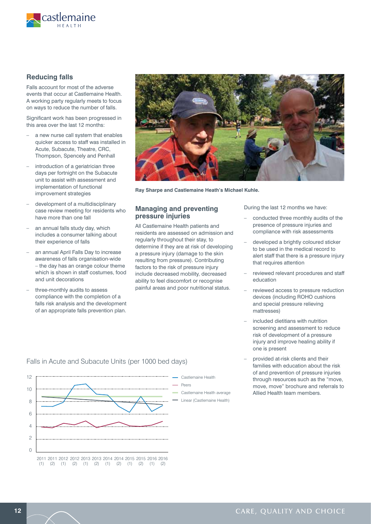

# **Reducing falls**

Falls account for most of the adverse events that occur at Castlemaine Health. A working party regularly meets to focus on ways to reduce the number of falls.

Significant work has been progressed in this area over the last 12 months:

- a new nurse call system that enables quicker access to staff was installed in Acute, Subacute, Theatre, CRC, Thompson, Spencely and Penhall
- introduction of a geriatrician three days per fortnight on the Subacute unit to assist with assessment and implementation of functional improvement strategies
- development of a multidisciplinary case review meeting for residents who have more than one fall
- an annual falls study day, which includes a consumer talking about their experience of falls
- an annual April Falls Day to increase awareness of falls organisation-wide – the day has an orange colour theme which is shown in staff costumes, food and unit decorations
- three-monthly audits to assess compliance with the completion of a falls risk analysis and the development of an appropriate falls prevention plan.



**Ray Sharpe and Castlemaine Heath's Michael Kuhle.**

### **Managing and preventing pressure injuries**

All Castlemaine Health patients and residents are assessed on admission and regularly throughout their stay, to determine if they are at risk of developing a pressure injury (damage to the skin resulting from pressure). Contributing factors to the risk of pressure injury include decreased mobility, decreased ability to feel discomfort or recognise painful areas and poor nutritional status.

During the last 12 months we have:

- conducted three monthly audits of the presence of pressure injuries and compliance with risk assessments
- developed a brightly coloured sticker to be used in the medical record to alert staff that there is a pressure injury that requires attention
- reviewed relevant procedures and staff education
- reviewed access to pressure reduction devices (including ROHO cushions and special pressure relieving mattresses)
- included dietitians with nutrition screening and assessment to reduce risk of development of a pressure injury and improve healing ability if one is present
- provided at-risk clients and their families with education about the risk of and prevention of pressure injuries through resources such as the "move, move, move" brochure and referrals to Allied Health team members.



## Falls in Acute and Subacute Units (per 1000 bed days)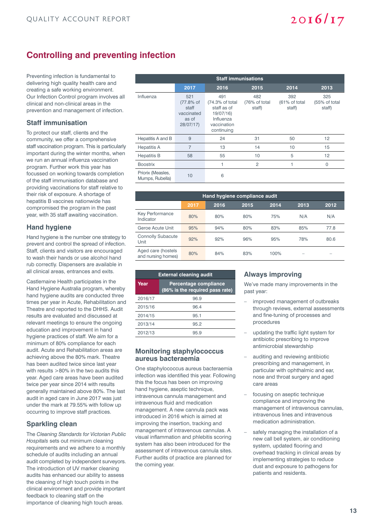# **Controlling and preventing infection**

Preventing infection is fundamental to delivering high quality health care and creating a safe working environment. Our Infection Control program involves all clinical and non-clinical areas in the prevention and management of infection.

## **Staff immunisation**

To protect our staff, clients and the community, we offer a comprehensive staff vaccination program. This is particularly important during the winter months, when we run an annual influenza vaccination program. Further work this year has focussed on working towards completion of the staff immunisation database and providing vaccinations for staff relative to their risk of exposure. A shortage of hepatitis B vaccines nationwide has compromised the program in the past year, with 35 staff awaiting vaccination.

### **Hand hygiene**

Hand hygiene is the number one strategy to prevent and control the spread of infection. Staff, clients and visitors are encouraged to wash their hands or use alcohol hand rub correctly. Dispensers are available in all clinical areas, entrances and exits.

Castlemaine Health participates in the Hand Hygiene Australia program, whereby hand hygiene audits are conducted three times per year in Acute, Rehabilitation and Theatre and reported to the DHHS. Audit results are evaluated and discussed at relevant meetings to ensure the ongoing education and improvement in hand hygiene practices of staff. We aim for a minimum of 80% compliance for each audit. Acute and Rehabilitation areas are achieving above the 80% mark. Theatre has been audited twice since last year with results >80% in the two audits this year. Aged care areas have been audited twice per year since 2014 with results generally maintained above 80%. The last audit in aged care in June 2017 was just under the mark at 79.55% with follow up occurring to improve staff practices.

## **Sparkling clean**

The *Cleaning Standards for Victorian Public Hospitals* sets out minimum cleaning requirements and we adhere to a monthly schedule of audits including an annual audit completed by independent surveyors. The introduction of UV marker cleaning audits has enhanced our ability to assess the cleaning of high touch points in the clinical environment and provide important feedback to cleaning staff on the importance of cleaning high touch areas.

| <b>Staff immunisations</b>           |                                                              |                                                                                               |                                |                                |                                |  |
|--------------------------------------|--------------------------------------------------------------|-----------------------------------------------------------------------------------------------|--------------------------------|--------------------------------|--------------------------------|--|
|                                      | 2017                                                         | 2016                                                                                          | 2015                           | 2014                           | 2013                           |  |
| Influenza                            | 521<br>(77.8% of<br>staff<br>vaccinated<br>as of<br>28/07/17 | 491<br>(74.3% of total)<br>staff as of<br>19/07/16)<br>Influenza<br>vaccination<br>continuing | 482<br>(76% of total<br>staff) | 392<br>(61% of total<br>staff) | 325<br>(55% of total<br>staff) |  |
| Hepatitis A and B                    | 9                                                            | 24                                                                                            | 31                             | 50                             | 12                             |  |
| <b>Hepatitis A</b>                   | 7                                                            | 13                                                                                            | 14                             | 10                             | 15                             |  |
| <b>Hepatitis B</b>                   | 58                                                           | 55                                                                                            | 10                             | 5                              | 12                             |  |
| <b>Boostrix</b>                      |                                                              | 1                                                                                             | $\overline{2}$                 | 1                              | $\Omega$                       |  |
| Priorix (Measles,<br>Mumps, Rubella) | 10                                                           | 6                                                                                             |                                |                                |                                |  |

| Hand hygiene compliance audit            |      |      |      |      |      |      |
|------------------------------------------|------|------|------|------|------|------|
|                                          | 2017 | 2016 | 2015 | 2014 | 2013 | 2012 |
| Key Performance<br>Indicator             | 80%  | 80%  | 80%  | 75%  | N/A  | N/A  |
| Geroe Acute Unit                         | 95%  | 94%  | 80%  | 83%  | 85%  | 77.8 |
| <b>Connolly Subacute</b><br>Unit         | 92%  | 92%  | 96%  | 95%  | 78%  | 80.6 |
| Aged care (hostels<br>and nursing homes) | 80%  | 84%  | 83%  | 100% |      |      |

| <b>External cleaning audit</b> |                                                          |  |  |  |  |
|--------------------------------|----------------------------------------------------------|--|--|--|--|
| Year                           | Percentage compliance<br>(86% is the required pass rate) |  |  |  |  |
| 2016/17                        | 96.9                                                     |  |  |  |  |
| 2015/16                        | 96.4                                                     |  |  |  |  |
| 2014/15                        | 95.1                                                     |  |  |  |  |
| 2013/14                        | 95.2                                                     |  |  |  |  |
| 2012/13                        | 95.9                                                     |  |  |  |  |

### **Monitoring staphylococcus aureus bacteraemia**

One staphylococcus aureus bacteraemia infection was identified this year. Following this the focus has been on improving hand hygiene, aseptic technique, intravenous cannula management and intravenous fluid and medication management. A new cannula pack was introduced in 2016 which is aimed at improving the insertion, tracking and management of intravenous cannulas. A visual inflammation and phlebitis scoring system has also been introduced for the assessment of intravenous cannula sites. Further audits of practice are planned for the coming year.

# **Always improving**

We've made many improvements in the past year:

 $2016/17$ 

- improved management of outbreaks through reviews, external assessments and fine-tuning of processes and procedures
- updating the traffic light system for antibiotic prescribing to improve antimicrobial stewardship
- auditing and reviewing antibiotic prescribing and management, in particular with ophthalmic and ear, nose and throat surgery and aged care areas
- focusing on aseptic technique compliance and improving the management of intravenous cannulas, intravenous lines and intravenous medication administration.
- safely managing the installation of a new call bell system, air conditioning system, updated flooring and overhead tracking in clinical areas by implementing strategies to reduce dust and exposure to pathogens for patients and residents.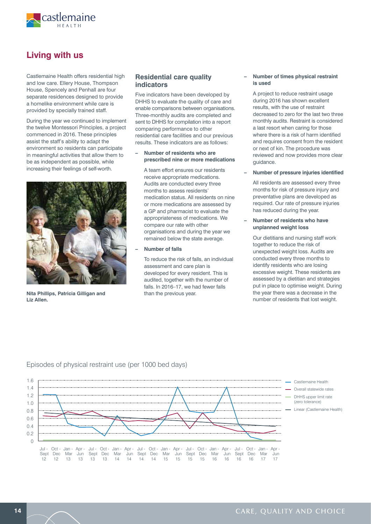

# **Living with us**

Castlemaine Health offers residential high and low care. Ellery House, Thompson House, Spencely and Penhall are four separate residences designed to provide a homelike environment while care is provided by specially trained staff.

During the year we continued to implement the twelve Montessori Principles, a project commenced in 2016. These principles assist the staff's ability to adapt the environment so residents can participate in meaningful activities that allow them to be as independent as possible, while increasing their feelings of self-worth.



**Nita Phillips, Patricia Gilligan and Liz Allen.**

### **Residential care quality indicators**

Five indicators have been developed by DHHS to evaluate the quality of care and enable comparisons between organisations. Three-monthly audits are completed and sent to DHHS for compilation into a report comparing performance to other residential care facilities and our previous results. These indicators are as follows:

### **– Number of residents who are prescribed nine or more medications**

 A team effort ensures our residents receive appropriate medications. Audits are conducted every three months to assess residents' medication status. All residents on nine or more medications are assessed by a GP and pharmacist to evaluate the appropriateness of medications. We compare our rate with other organisations and during the year we remained below the state average.

### **– Number of falls**

 To reduce the risk of falls, an individual assessment and care plan is developed for every resident. This is audited, together with the number of falls. In 2016–17, we had fewer falls than the previous year.

### **– Number of times physical restraint is used**

 A project to reduce restraint usage during 2016 has shown excellent results, with the use of restraint decreased to zero for the last two three monthly audits. Restraint is considered a last resort when caring for those where there is a risk of harm identified and requires consent from the resident or next of kin. The procedure was reviewed and now provides more clear guidance.

### **– Number of pressure injuries identified**

 All residents are assessed every three months for risk of pressure injury and preventative plans are developed as required. Our rate of pressure injuries has reduced during the year.

### **– Number of residents who have unplanned weight loss**

 Our dietitians and nursing staff work together to reduce the risk of unexpected weight loss. Audits are conducted every three months to identify residents who are losing excessive weight. These residents are assessed by a dietitian and strategies put in place to optimise weight. During the year there was a decrease in the number of residents that lost weight.



Episodes of physical restraint use (per 1000 bed days)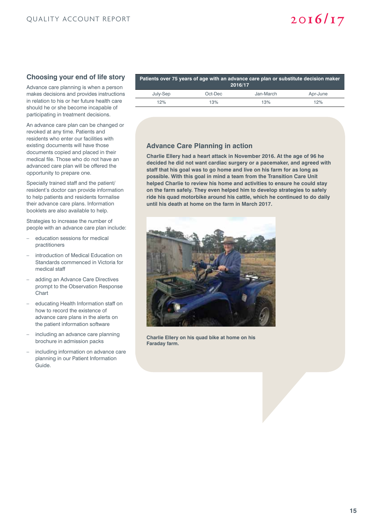# **Choosing your end of life story**

Advance care planning is when a person makes decisions and provides instructions in relation to his or her future health care should he or she become incapable of participating in treatment decisions.

An advance care plan can be changed or revoked at any time. Patients and residents who enter our facilities with existing documents will have those documents copied and placed in their medical file. Those who do not have an advanced care plan will be offered the opportunity to prepare one.

Specially trained staff and the patient/ resident's doctor can provide information to help patients and residents formalise their advance care plans. Information booklets are also available to help.

Strategies to increase the number of people with an advance care plan include:

- education sessions for medical practitioners
- introduction of Medical Education on Standards commenced in Victoria for medical staff
- adding an Advance Care Directives prompt to the Observation Response Chart
- educating Health Information staff on how to record the existence of advance care plans in the alerts on the patient information software
- including an advance care planning brochure in admission packs
- including information on advance care planning in our Patient Information Guide.

| Patients over 75 years of age with an advance care plan or substitute decision maker<br>2016/17 |         |           |          |  |  |
|-------------------------------------------------------------------------------------------------|---------|-----------|----------|--|--|
| July-Sep                                                                                        | Oct-Dec | Jan-March | Apr-June |  |  |
| 12%                                                                                             | 13%     | 13%       | 12%      |  |  |

# **Advance Care Planning in action**

**Charlie Ellery had a heart attack in November 2016. At the age of 96 he decided he did not want cardiac surgery or a pacemaker, and agreed with staff that his goal was to go home and live on his farm for as long as possible. With this goal in mind a team from the Transition Care Unit helped Charlie to review his home and activities to ensure he could stay on the farm safely. They even helped him to develop strategies to safely ride his quad motorbike around his cattle, which he continued to do daily until his death at home on the farm in March 2017.**



**Charlie Ellery on his quad bike at home on his Faraday farm.**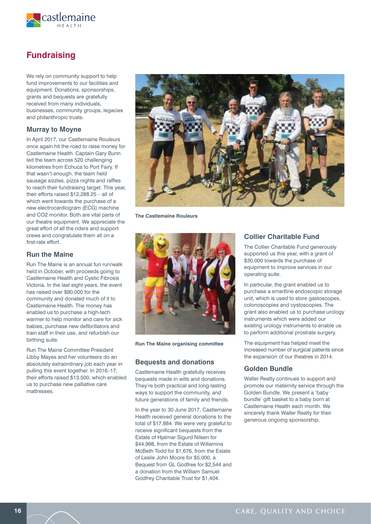

# **Fundraising**

We rely on community support to help fund improvements to our facilities and equipment. Donations, sponsorships, grants and bequests are gratefully received from many individuals, businesses, community groups, legacies and philanthropic trusts.

### **Murray to Moyne**

In April 2017, our Castlemaine Rouleurs once again hit the road to raise money for Castlemaine Health. Captain Gary Bunn led the team across 520 challenging kilometres from Echuca to Port Fairy. If that wasn't enough, the team held sausage sizzles, pizza nights and raffles to reach their fundraising target. This year, their efforts raised \$12,288.25 – all of which went towards the purchase of a new electrocardiogram (ECG) machine and CO2 monitor. Both are vital parts of our theatre equipment. We appreciate the great effort of all the riders and support crews and congratulate them all on a first-rate effort.

### **Run the Maine**

Run The Maine is an annual fun run/walk held in October, with proceeds going to Castlemaine Health and Cystic Fibrosis Victoria. In the last eight years, the event has raised over \$90,000 for the community and donated much of it to Castlemaine Health. The money has enabled us to purchase a high-tech warmer to help monitor and care for sick babies, purchase new defibrillators and train staff in their use, and refurbish our birthing suite.

Run The Maine Committee President Libby Mayes and her volunteers do an absolutely extraordinary job each year in pulling this event together. In 2016–17, their efforts raised \$13,500, which enabled us to purchase new palliative care mattresses.



**The Castlemaine Rouleurs**



**Run The Maine organising committee**

### **Bequests and donations**

Castlemaine Health gratefully receives bequests made in wills and donations. They're both practical and long-lasting ways to support the community, and future generations of family and friends.

In the year to 30 June 2017, Castlemaine Health received general donations to the total of \$17,884. We were very grateful to receive significant bequests from the Estate of Hjalmar Sigurd Nilsen for \$44,998, from the Estate of Willamina McBeth Todd for \$1,676, from the Estate of Leslie John Moore for \$5,000, a Bequest from GL Godfree for \$2,544 and a donation from the William Samuel Godfrey Charitable Trust for \$1,404.

### **Collier Charitable Fund**

The Collier Charitable Fund generously supported us this year, with a grant of \$30,000 towards the purchase of equipment to improve services in our operating suite.

In particular, the grant enabled us to purchase a smartline endoscopic storage unit, which is used to store gastoscopes, colonoscopies and cystoscopies. The grant also enabled us to purchase urology instruments which were added our existing urology instruments to enable us to perform additional prostrate surgery.

The equipment has helped meet the increased number of surgical patients since the expansion of our theatres in 2014.

### **Golden Bundle**

Waller Realty continues to support and promote our maternity service through the Golden Bundle. We present a 'baby bundle' gift basket to a baby born at Castlemaine Health each month. We sincerely thank Waller Realty for their generous ongoing sponsorship.